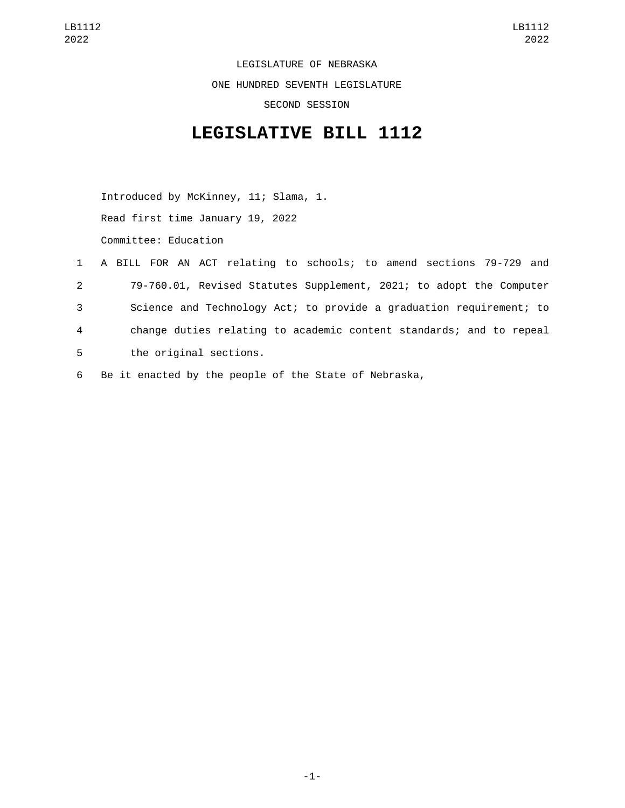LEGISLATURE OF NEBRASKA ONE HUNDRED SEVENTH LEGISLATURE SECOND SESSION

## **LEGISLATIVE BILL 1112**

Introduced by McKinney, 11; Slama, 1. Read first time January 19, 2022 Committee: Education

- 1 A BILL FOR AN ACT relating to schools; to amend sections 79-729 and 2 79-760.01, Revised Statutes Supplement, 2021; to adopt the Computer 3 Science and Technology Act; to provide a graduation requirement; to 4 change duties relating to academic content standards; and to repeal 5 the original sections.
- 6 Be it enacted by the people of the State of Nebraska,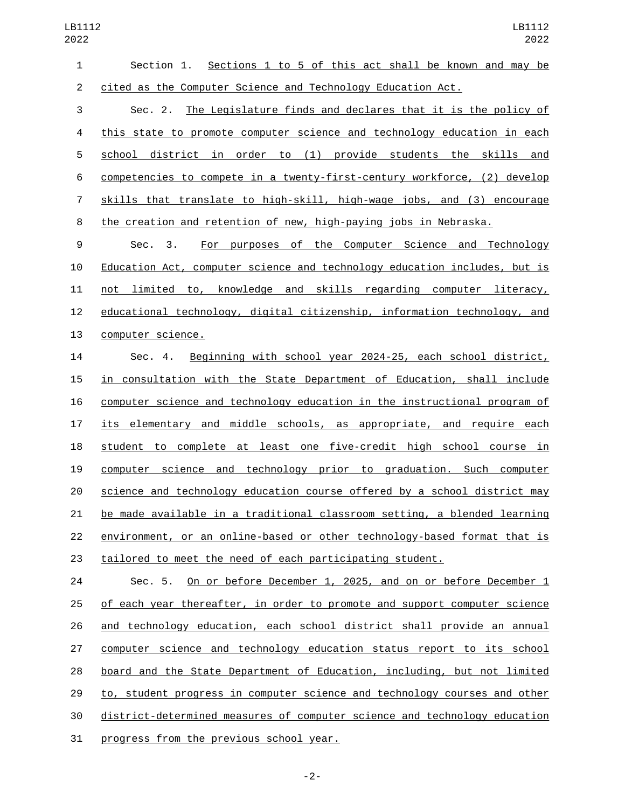| 1              | Sections 1 to 5 of this act shall be known and may be<br>Section 1.       |
|----------------|---------------------------------------------------------------------------|
| $\overline{2}$ | cited as the Computer Science and Technology Education Act.               |
| 3              | The Legislature finds and declares that it is the policy of<br>Sec. 2.    |
| 4              | this state to promote computer science and technology education in each   |
| 5              | school district in order to (1) provide students the skills and           |
| 6              | competencies to compete in a twenty-first-century workforce, (2) develop  |
| 7              | skills that translate to high-skill, high-wage jobs, and (3) encourage    |
| 8              | the creation and retention of new, high-paying jobs in Nebraska.          |
| 9              | For purposes of the Computer Science and Technology<br>Sec. 3.            |
| 10             | Education Act, computer science and technology education includes, but is |
| 11             | not limited to, knowledge and skills regarding computer literacy,         |
| 12             | educational technology, digital citizenship, information technology, and  |
| 13             | computer science.                                                         |
| 14             | Beginning with school year 2024-25, each school district,<br>Sec. 4.      |
| 15             | in consultation with the State Department of Education, shall include     |
| 16             | computer science and technology education in the instructional program of |
| 17             | its elementary and middle schools, as appropriate, and require each       |
| 18             | student to complete at least one five-credit high school course in        |
| 19             | computer science and technology prior to graduation. Such computer        |
| 20             | science and technology education course offered by a school district may  |

 environment, or an online-based or other technology-based format that is tailored to meet the need of each participating student.

be made available in a traditional classroom setting, a blended learning

24 Sec. 5. On or before December 1, 2025, and on or before December 1 of each year thereafter, in order to promote and support computer science and technology education, each school district shall provide an annual computer science and technology education status report to its school board and the State Department of Education, including, but not limited 29 to, student progress in computer science and technology courses and other district-determined measures of computer science and technology education 31 progress from the previous school year.

-2-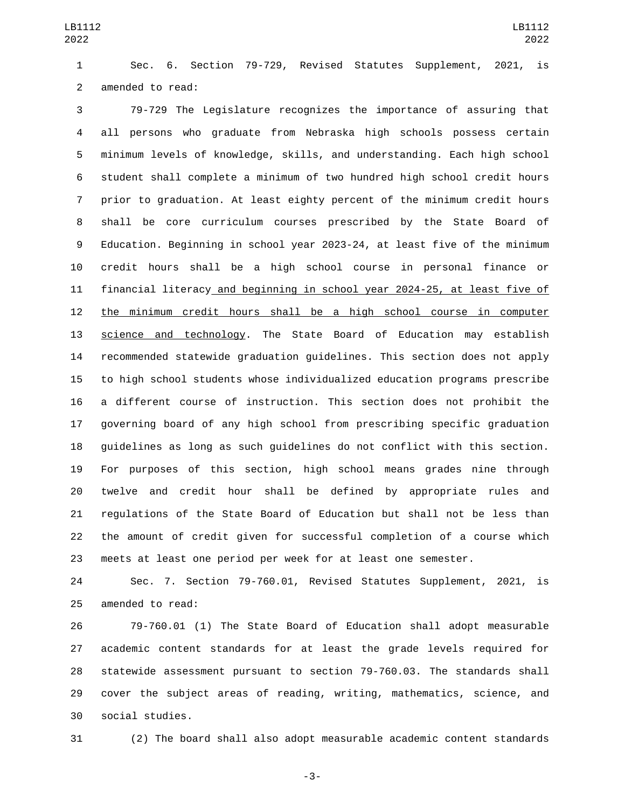Sec. 6. Section 79-729, Revised Statutes Supplement, 2021, is 2 amended to read:

 79-729 The Legislature recognizes the importance of assuring that all persons who graduate from Nebraska high schools possess certain minimum levels of knowledge, skills, and understanding. Each high school student shall complete a minimum of two hundred high school credit hours prior to graduation. At least eighty percent of the minimum credit hours shall be core curriculum courses prescribed by the State Board of Education. Beginning in school year 2023-24, at least five of the minimum credit hours shall be a high school course in personal finance or financial literacy and beginning in school year 2024-25, at least five of the minimum credit hours shall be a high school course in computer science and technology. The State Board of Education may establish recommended statewide graduation guidelines. This section does not apply to high school students whose individualized education programs prescribe a different course of instruction. This section does not prohibit the governing board of any high school from prescribing specific graduation guidelines as long as such guidelines do not conflict with this section. For purposes of this section, high school means grades nine through twelve and credit hour shall be defined by appropriate rules and regulations of the State Board of Education but shall not be less than the amount of credit given for successful completion of a course which meets at least one period per week for at least one semester.

 Sec. 7. Section 79-760.01, Revised Statutes Supplement, 2021, is 25 amended to read:

 79-760.01 (1) The State Board of Education shall adopt measurable academic content standards for at least the grade levels required for statewide assessment pursuant to section 79-760.03. The standards shall cover the subject areas of reading, writing, mathematics, science, and social studies.30

(2) The board shall also adopt measurable academic content standards

-3-